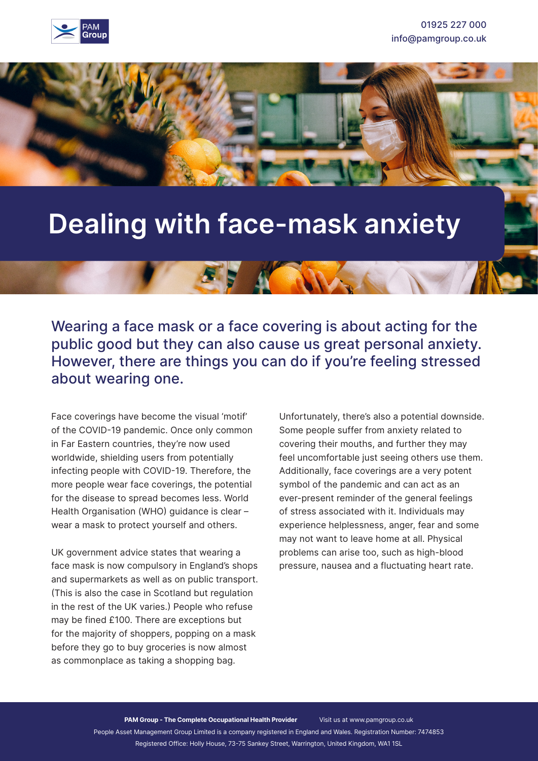



# **Dealing with face-mask anxiety**

Wearing a face mask or a face covering is about acting for the public good but they can also cause us great personal anxiety. However, there are things you can do if you're feeling stressed about wearing one.

KANNA

Face coverings have become the visual 'motif' of the COVID-19 pandemic. Once only common in Far Eastern countries, they're now used worldwide, shielding users from potentially infecting people with COVID-19. Therefore, the more people wear face coverings, the potential for the disease to spread becomes less. World Health Organisation (WHO) guidance is clear – wear a mask to protect yourself and others.

UK government advice states that wearing a face mask is now compulsory in England's shops and supermarkets as well as on public transport. (This is also the case in Scotland but regulation in the rest of the UK varies.) People who refuse may be fined £100. There are exceptions but for the majority of shoppers, popping on a mask before they go to buy groceries is now almost as commonplace as taking a shopping bag.

Unfortunately, there's also a potential downside. Some people suffer from anxiety related to covering their mouths, and further they may feel uncomfortable just seeing others use them. Additionally, face coverings are a very potent symbol of the pandemic and can act as an ever-present reminder of the general feelings of stress associated with it. Individuals may experience helplessness, anger, fear and some may not want to leave home at all. Physical problems can arise too, such as high-blood pressure, nausea and a fluctuating heart rate.

**PAM Group - The Complete Occupational Health Provider** Visit us at www.pamgroup.co.uk People Asset Management Group Limited is a company registered in England and Wales. Registration Number: 7474853 Registered Office: Holly House, 73-75 Sankey Street, Warrington, United Kingdom, WA1 1SL